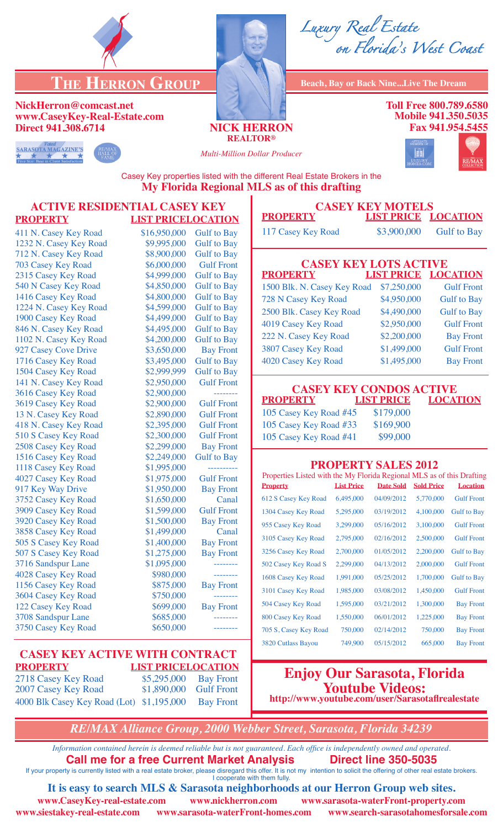

# **THE HERRON GROUP Beach, Bay or Back Nine...Live The Dream**

#### **NickHerron@comcast.net www.CaseyKey-Real-Estate.com Direct 941.308.6714 NICK HERRON**

**REALTOR®**



**Toll Free 800.789.6580 Mobile 941.350.5035 Fax 941.954.5455**





*Multi-Million Dollar Producer*



Casey Key properties listed with the different Real Estate Brokers in the **My Florida Regional MLS as of this drafting**

### **ACTIVE RESIDENTIAL CASEY KEY PROPERTY LIST PRICELOCATION**

411 N. Casey Key Road \$16,950,000 Gulf to Bay 1232 N. Casey Key Road \$9,995,000 Gulf to Bay 712 N. Casey Key Road \$8,900,000 Gulf to Bay 703 Casey Key Road \$6,000,000 Gulf Front 846 N. Casey Key Road \$4,495,000 141 N. Casey Key Road \$2,950,000 3616 Casey Key Road \$2,900,000<br>3619 Casey Key Road \$2,900,000 917 Key Way Drive \$1,950,000 507 S Casey Key Road \$1,275,000 4028 Casey Key Road \$980,000 3604 Casey Key Road \$750,000 3750 Casey Key Road \$650,000

## 2315 Casey Key Road \$4,999,000 Gulf to Bay 540 N Casey Key Road \$4,850,000 Gulf to Bay 1416 Casey Key Road \$4,800,000 Gulf to Bay 1224 N. Casey Key Road \$4,599,000 Gulf to Bay 1900 Casey Key Road \$4,499,000 Gulf to Bay<br>846 N. Casey Key Road \$4,495,000 Gulf to Bay 1102 N. Casey Key Road \$4,200,000 Gulf to Bay 927 Casey Cove Drive \$3,650,000 Bay Front 1716 Casey Key Road \$3,495,000 Gulf to Bay 1504 Casey Key Road \$2,999,999 Gulf to Bay<br>141 N. Casey Key Road \$2,950,000 Gulf Front 3619 Casey Key Road \$2,900,000 Gulf Front 13 N. Casey Key Road \$2,890,000 Gulf Front 418 N. Casey Key Road \$2,395,000 Gulf Front 510 S Casey Key Road \$2,300,000 Gulf Front 2508 Casey Key Road \$2,299,000 Bay Front 1516 Casey Key Road \$2,249,000 Gulf to Bay 1118 Casey Key Road \$1,995,000 ----------4027 Casey Key Road \$1,975,000 Gulf Front<br>917 Key Way Drive \$1,950,000 Bay Front 3752 Casey Key Road \$1,650,000 Canal 3909 Casey Key Road \$1,599,000 Gulf Front 3920 Casey Key Road \$1,500,000 Bay Front 3858 Casey Key Road \$1,499,000 Canal 505 S Casey Key Road \$1,400,000 Bay Front<br>507 S Casey Key Road \$1,275,000 Bay Front 3716 Sandspur Lane \$1,095,000 -------- 1156 Casey Key Road \$875,000 Bay Front 122 Casey Key Road \$699,000 Bay Front 3708 Sandspur Lane \$685,000 --------

#### **CASEY KEY ACTIVE WITH CONTRACT PROPERTY LIST PRICELOCATION** 2718 Casey Key Road \$5,295,000 Bay Front

| 2007 Casey Key Road                                 | \$1,890,000 Gulf Front |  |
|-----------------------------------------------------|------------------------|--|
| 4000 Blk Casey Key Road (Lot) \$1,195,000 Bay Front |                        |  |

## **Enjoy Our Sarasota, Florida Youtube Videos: http://www.youtube.com/user/Sarasotaflrealestate**

*RE/MAX Alliance Group, 2000 Webber Street, Sarasota, Florida 34239*

*Information contained herein is deemed reliable but is not guaranteed. Each office is independently owned and operated.* **Call me for a free Current Market Analysis Direct line 350-5035** If your property is currently listed with a real estate broker, please disregard this offer. It is not my intention to solicit the offering of other real estate brokers.

I cooperate with them fully. **It is easy to search MLS & Sarasota neighborhoods at our Herron Group web sites.**

**www.siestakey-real-estate.com www.sarasota-waterFront-homes.com www.search-sarasotahomesforsale.com**

**www.CaseyKey-real-estate.com www.nickherron.com www.sarasota-waterFront-property.com**

**CASEY KEY MOTELS<br>PROPERTY LIST PRICE 1 LIST PRICE LOCATION** 

| \$3,900,000<br><b>Gulf to Bay</b> |
|-----------------------------------|
|                                   |

#### **CASEY KEY LOTS ACTIVE<br>PROPERTY LIST PRICE LOC LIST PRICE LOCATION**

| <u>.</u>                    | <u>LIST 1 111 SL</u> | <b>MOOISE LOTS</b> |
|-----------------------------|----------------------|--------------------|
| 1500 Blk. N. Casey Key Road | \$7,250,000          | <b>Gulf Front</b>  |
| 728 N Casey Key Road        | \$4,950,000          | <b>Gulf</b> to Bay |
| 2500 Blk. Casey Key Road    | \$4,490,000          | <b>Gulf</b> to Bay |
| 4019 Casey Key Road         | \$2,950,000          | <b>Gulf Front</b>  |
| 222 N. Casey Key Road       | \$2,200,000          | <b>Bay Front</b>   |
| 3807 Casey Key Road         | \$1,499,000          | <b>Gulf Front</b>  |
| 4020 Casey Key Road         | \$1,495,000          | <b>Bay Front</b>   |

| <b>CASEY KEY CONDOS ACTIVE</b>   |           |                            |  |
|----------------------------------|-----------|----------------------------|--|
| PROPERTY                         |           | <b>LIST PRICE LOCATION</b> |  |
| 105 Casey Key Road #45 \$179,000 |           |                            |  |
| 105 Casey Key Road #33           | \$169,900 |                            |  |

105 Casey Key Road #41 \$99,000

### **PROPERTY SALES 2012**

| Properties Listed with the My Florida Regional MLS as of this Drafting |                   |                  |                   |                    |
|------------------------------------------------------------------------|-------------------|------------------|-------------------|--------------------|
| <b>Property</b>                                                        | <b>List Price</b> | <b>Date Sold</b> | <b>Sold Price</b> | <b>Location</b>    |
| 612 S Casey Key Road                                                   | 6,495,000         | 04/09/2012       | 5,770,000         | <b>Gulf Front</b>  |
| 1304 Casey Key Road                                                    | 5,295,000         | 03/19/2012       | 4,100,000         | <b>Gulf to Bay</b> |
| 955 Casey Key Road                                                     | 3,299,000         | 05/16/2012       | 3,100,000         | <b>Gulf Front</b>  |
| 3105 Casey Key Road                                                    | 2,795,000         | 02/16/2012       | 2,500,000         | <b>Gulf Front</b>  |
| 3256 Casey Key Road                                                    | 2,700,000         | 01/05/2012       | 2.200,000         | <b>Gulf to Bay</b> |
| 502 Casey Key Road S                                                   | 2,299,000         | 04/13/2012       | 2,000,000         | <b>Gulf Front</b>  |
| 1608 Casey Key Road                                                    | 1,991,000         | 05/25/2012       | 1,700,000         | <b>Gulf to Bay</b> |
| 3101 Casey Key Road                                                    | 1,985,000         | 03/08/2012       | 1,450,000         | <b>Gulf Front</b>  |
| 504 Casey Key Road                                                     | 1,595,000         | 03/21/2012       | 1,300,000         | <b>Bay Front</b>   |
| 800 Casey Key Road                                                     | 1,550,000         | 06/01/2012       | 1,225,000         | <b>Bay Front</b>   |
| 705 S, Casey Key Road                                                  | 750,000           | 02/14/2012       | 750,000           | <b>Bay Front</b>   |
| 3820 Cutlass Bayou                                                     | 749,900           | 05/15/2012       | 665,000           | <b>Bay Front</b>   |